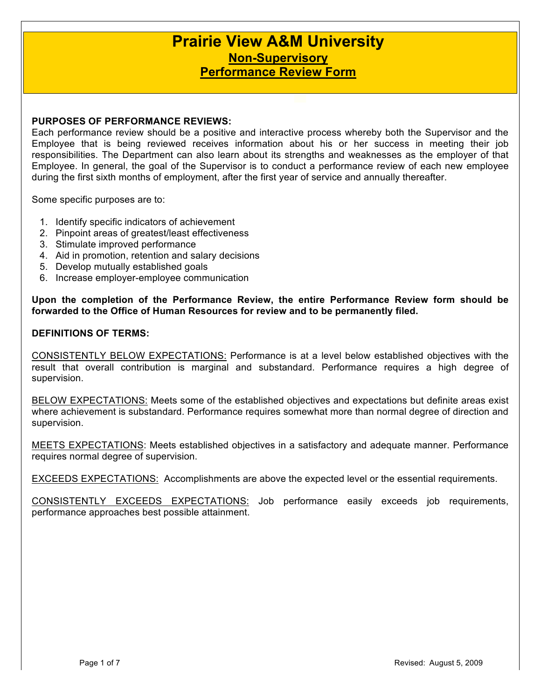# **Prairie View A&M University Non-Supervisory Performance Review Form**

## **PURPOSES OF PERFORMANCE REVIEWS:**

Each performance review should be a positive and interactive process whereby both the Supervisor and the Employee that is being reviewed receives information about his or her success in meeting their job responsibilities. The Department can also learn about its strengths and weaknesses as the employer of that Employee. In general, the goal of the Supervisor is to conduct a performance review of each new employee during the first sixth months of employment, after the first year of service and annually thereafter.

Some specific purposes are to:

- 1. Identify specific indicators of achievement
- 2. Pinpoint areas of greatest/least effectiveness
- 3. Stimulate improved performance
- 4. Aid in promotion, retention and salary decisions
- 5. Develop mutually established goals
- 6. Increase employer-employee communication

**Upon the completion of the Performance Review, the entire Performance Review form should be forwarded to the Office of Human Resources for review and to be permanently filed.**

### **DEFINITIONS OF TERMS:**

CONSISTENTLY BELOW EXPECTATIONS: Performance is at a level below established objectives with the result that overall contribution is marginal and substandard. Performance requires a high degree of supervision.

BELOW EXPECTATIONS: Meets some of the established objectives and expectations but definite areas exist where achievement is substandard. Performance requires somewhat more than normal degree of direction and supervision.

MEETS EXPECTATIONS: Meets established objectives in a satisfactory and adequate manner. Performance requires normal degree of supervision.

EXCEEDS EXPECTATIONS: Accomplishments are above the expected level or the essential requirements.

CONSISTENTLY EXCEEDS EXPECTATIONS: Job performance easily exceeds job requirements, performance approaches best possible attainment.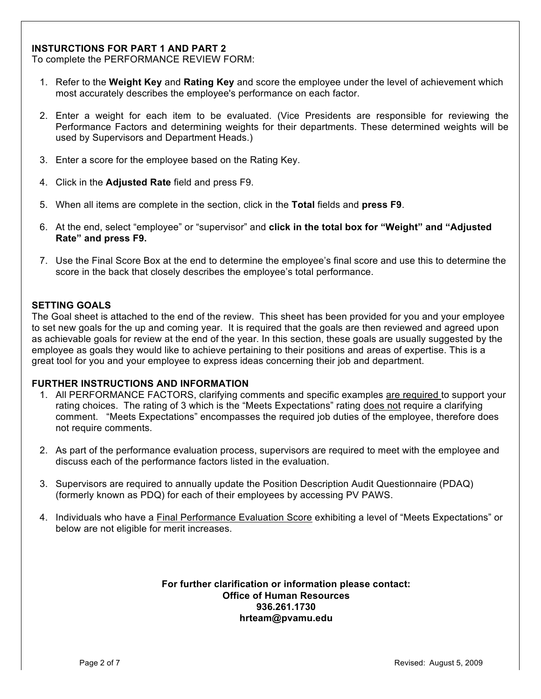# **INSTURCTIONS FOR PART 1 AND PART 2**

To complete the PERFORMANCE REVIEW FORM:

- 1. Refer to the **Weight Key** and **Rating Key** and score the employee under the level of achievement which most accurately describes the employee's performance on each factor.
- 2. Enter a weight for each item to be evaluated. (Vice Presidents are responsible for reviewing the Performance Factors and determining weights for their departments. These determined weights will be used by Supervisors and Department Heads.)
- 3. Enter a score for the employee based on the Rating Key.
- 4. Click in the **Adjusted Rate** field and press F9.
- 5. When all items are complete in the section, click in the **Total** fields and **press F9**.
- 6. At the end, select "employee" or "supervisor" and **click in the total box for "Weight" and "Adjusted Rate" and press F9.**
- 7. Use the Final Score Box at the end to determine the employee's final score and use this to determine the score in the back that closely describes the employee's total performance.

## **SETTING GOALS**

The Goal sheet is attached to the end of the review. This sheet has been provided for you and your employee to set new goals for the up and coming year. It is required that the goals are then reviewed and agreed upon as achievable goals for review at the end of the year. In this section, these goals are usually suggested by the employee as goals they would like to achieve pertaining to their positions and areas of expertise. This is a great tool for you and your employee to express ideas concerning their job and department.

### **FURTHER INSTRUCTIONS AND INFORMATION**

- 1. All PERFORMANCE FACTORS, clarifying comments and specific examples are required to support your rating choices. The rating of 3 which is the "Meets Expectations" rating does not require a clarifying comment. "Meets Expectations" encompasses the required job duties of the employee, therefore does not require comments.
- 2. As part of the performance evaluation process, supervisors are required to meet with the employee and discuss each of the performance factors listed in the evaluation.
- 3. Supervisors are required to annually update the Position Description Audit Questionnaire (PDAQ) (formerly known as PDQ) for each of their employees by accessing PV PAWS.
- 4. Individuals who have a Final Performance Evaluation Score exhibiting a level of "Meets Expectations" or below are not eligible for merit increases.

#### **For further clarification or information please contact: Office of Human Resources 936.261.1730 hrteam@pvamu.edu**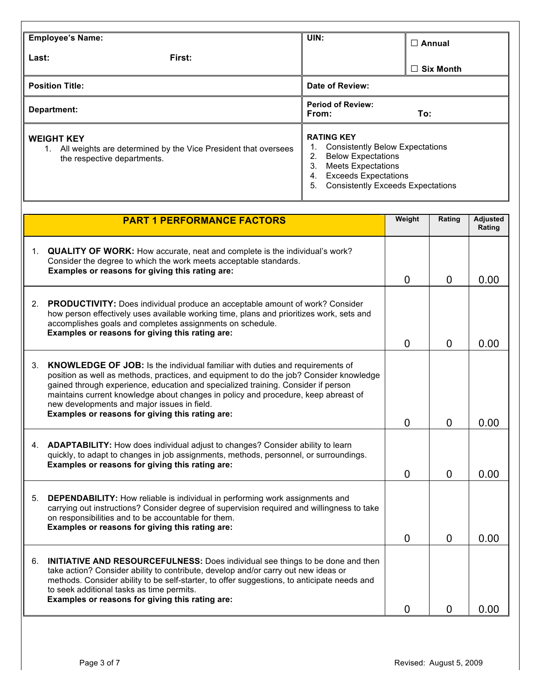| <b>Employee's Name:</b>                                                                                                  | UIN:                                                                                                                                                                                                                     | $\Box$ Annual    |  |  |
|--------------------------------------------------------------------------------------------------------------------------|--------------------------------------------------------------------------------------------------------------------------------------------------------------------------------------------------------------------------|------------------|--|--|
| Last:<br>First:                                                                                                          |                                                                                                                                                                                                                          | $\Box$ Six Month |  |  |
| <b>Position Title:</b>                                                                                                   | Date of Review:                                                                                                                                                                                                          |                  |  |  |
| Department:                                                                                                              | <b>Period of Review:</b><br>From:<br>To:                                                                                                                                                                                 |                  |  |  |
| <b>WEIGHT KEY</b><br>All weights are determined by the Vice President that oversees<br>1.<br>the respective departments. | <b>RATING KEY</b><br><b>Consistently Below Expectations</b><br><b>Below Expectations</b><br>2.<br><b>Meets Expectations</b><br>3.<br><b>Exceeds Expectations</b><br>4.<br>5.<br><b>Consistently Exceeds Expectations</b> |                  |  |  |

|    | <b>PART 1 PERFORMANCE FACTORS</b>                                                                                                                                                                                                                                                                                                                                                                                                                           | Weight         | Rating         | <b>Adjusted</b><br>Rating |
|----|-------------------------------------------------------------------------------------------------------------------------------------------------------------------------------------------------------------------------------------------------------------------------------------------------------------------------------------------------------------------------------------------------------------------------------------------------------------|----------------|----------------|---------------------------|
| 1. | <b>QUALITY OF WORK:</b> How accurate, neat and complete is the individual's work?<br>Consider the degree to which the work meets acceptable standards.<br>Examples or reasons for giving this rating are:                                                                                                                                                                                                                                                   | $\Omega$       | $\mathbf{0}$   | 0.00                      |
|    | 2. PRODUCTIVITY: Does individual produce an acceptable amount of work? Consider<br>how person effectively uses available working time, plans and prioritizes work, sets and<br>accomplishes goals and completes assignments on schedule.<br>Examples or reasons for giving this rating are:                                                                                                                                                                 | 0              | $\mathbf{0}$   | 0.00                      |
| 3. | <b>KNOWLEDGE OF JOB:</b> Is the individual familiar with duties and requirements of<br>position as well as methods, practices, and equipment to do the job? Consider knowledge<br>gained through experience, education and specialized training. Consider if person<br>maintains current knowledge about changes in policy and procedure, keep abreast of<br>new developments and major issues in field.<br>Examples or reasons for giving this rating are: | $\overline{0}$ | $\overline{0}$ | 0.00                      |
|    | 4. ADAPTABILITY: How does individual adjust to changes? Consider ability to learn<br>quickly, to adapt to changes in job assignments, methods, personnel, or surroundings.<br>Examples or reasons for giving this rating are:                                                                                                                                                                                                                               | $\Omega$       | 0              | 0.00                      |
| 5. | <b>DEPENDABILITY:</b> How reliable is individual in performing work assignments and<br>carrying out instructions? Consider degree of supervision required and willingness to take<br>on responsibilities and to be accountable for them.<br>Examples or reasons for giving this rating are:                                                                                                                                                                 | $\Omega$       | $\Omega$       | 0.00                      |
| 6. | <b>INITIATIVE AND RESOURCEFULNESS:</b> Does individual see things to be done and then<br>take action? Consider ability to contribute, develop and/or carry out new ideas or<br>methods. Consider ability to be self-starter, to offer suggestions, to anticipate needs and<br>to seek additional tasks as time permits.<br>Examples or reasons for giving this rating are:                                                                                  | 0              | 0              | 0.00                      |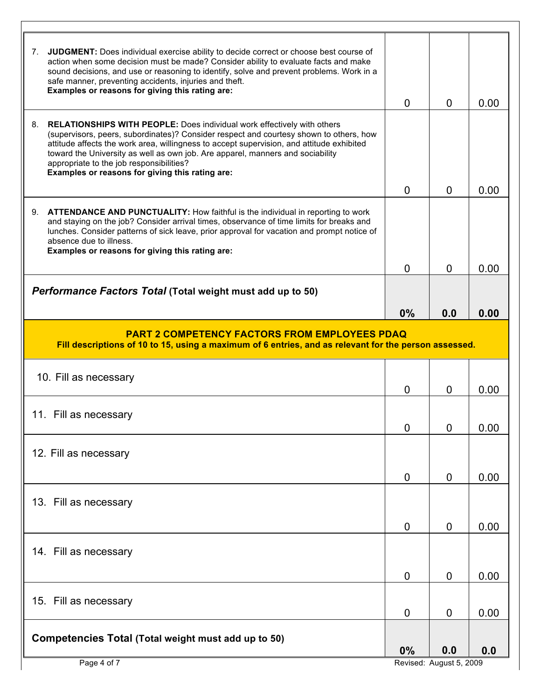| 14. Fill as necessary<br>15. Fill as necessary<br>Competencies Total (Total weight must add up to 50)                                                                                                                                                                                                                                                                                                     | $\mathbf 0$<br>$\overline{0}$<br>$\overline{0}$<br>0% | $\mathbf{0}$<br>$\mathbf 0$<br>0<br>0.0<br>Revised: August 5, 2009 | 0.00<br>0.00<br>0.00<br>0.0 |
|-----------------------------------------------------------------------------------------------------------------------------------------------------------------------------------------------------------------------------------------------------------------------------------------------------------------------------------------------------------------------------------------------------------|-------------------------------------------------------|--------------------------------------------------------------------|-----------------------------|
|                                                                                                                                                                                                                                                                                                                                                                                                           |                                                       |                                                                    |                             |
|                                                                                                                                                                                                                                                                                                                                                                                                           |                                                       |                                                                    |                             |
|                                                                                                                                                                                                                                                                                                                                                                                                           |                                                       |                                                                    |                             |
|                                                                                                                                                                                                                                                                                                                                                                                                           |                                                       |                                                                    |                             |
| 13. Fill as necessary                                                                                                                                                                                                                                                                                                                                                                                     |                                                       |                                                                    |                             |
| 12. Fill as necessary                                                                                                                                                                                                                                                                                                                                                                                     | $\overline{0}$                                        | $\mathbf 0$                                                        | 0.00                        |
| 11. Fill as necessary                                                                                                                                                                                                                                                                                                                                                                                     | 0                                                     | υ                                                                  | 0.00                        |
| 10. Fill as necessary                                                                                                                                                                                                                                                                                                                                                                                     | $\Omega$                                              | $\Omega$                                                           | 0.00                        |
| <b>PART 2 COMPETENCY FACTORS FROM EMPLOYEES PDAQ</b><br>Fill descriptions of 10 to 15, using a maximum of 6 entries, and as relevant for the person assessed.                                                                                                                                                                                                                                             |                                                       |                                                                    |                             |
| Performance Factors Total (Total weight must add up to 50)                                                                                                                                                                                                                                                                                                                                                | 0%                                                    | 0.0                                                                | 0.00                        |
|                                                                                                                                                                                                                                                                                                                                                                                                           | $\Omega$                                              | $\overline{0}$                                                     | 0.00                        |
| 9.<br><b>ATTENDANCE AND PUNCTUALITY:</b> How faithful is the individual in reporting to work<br>and staying on the job? Consider arrival times, observance of time limits for breaks and<br>lunches. Consider patterns of sick leave, prior approval for vacation and prompt notice of<br>absence due to illness.<br>Examples or reasons for giving this rating are:                                      |                                                       |                                                                    |                             |
| Examples or reasons for giving this rating are:                                                                                                                                                                                                                                                                                                                                                           | $\Omega$                                              | 0                                                                  | 0.00                        |
| 8.<br><b>RELATIONSHIPS WITH PEOPLE:</b> Does individual work effectively with others<br>(supervisors, peers, subordinates)? Consider respect and courtesy shown to others, how<br>attitude affects the work area, willingness to accept supervision, and attitude exhibited<br>toward the University as well as own job. Are apparel, manners and sociability<br>appropriate to the job responsibilities? |                                                       |                                                                    |                             |
| JUDGMENT: Does individual exercise ability to decide correct or choose best course of<br>7.<br>action when some decision must be made? Consider ability to evaluate facts and make<br>sound decisions, and use or reasoning to identify, solve and prevent problems. Work in a<br>safe manner, preventing accidents, injuries and theft.<br>Examples or reasons for giving this rating are:               | $\Omega$                                              | $\Omega$                                                           | 0.00                        |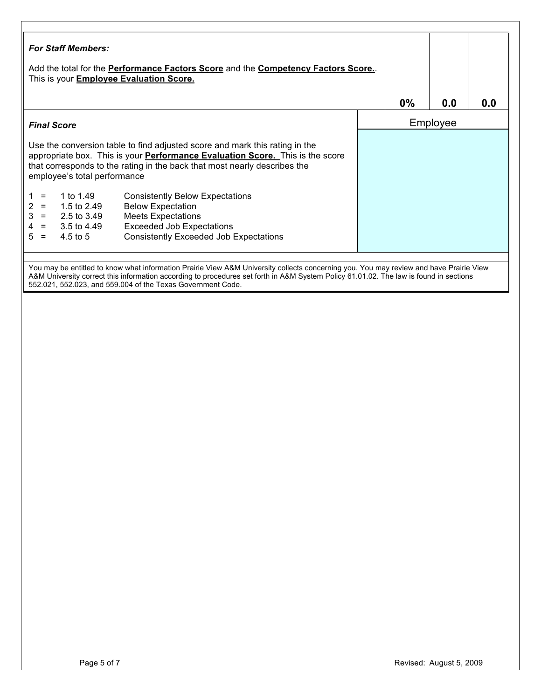| Add the total for the <b>Performance Factors Score</b> and the <b>Competency Factors Score.</b> .<br>This is your <b>Employee Evaluation Score.</b> |                              |                                                                                                                                                                   |          |       |     |     |
|-----------------------------------------------------------------------------------------------------------------------------------------------------|------------------------------|-------------------------------------------------------------------------------------------------------------------------------------------------------------------|----------|-------|-----|-----|
|                                                                                                                                                     |                              |                                                                                                                                                                   |          | $0\%$ | 0.0 | 0.0 |
|                                                                                                                                                     | <b>Final Score</b>           |                                                                                                                                                                   | Employee |       |     |     |
|                                                                                                                                                     |                              | appropriate box. This is your <b>Performance Evaluation Score.</b> This is the score<br>that corresponds to the rating in the back that most nearly describes the |          |       |     |     |
|                                                                                                                                                     | employee's total performance |                                                                                                                                                                   |          |       |     |     |
| $=$                                                                                                                                                 | 1 to 1.49                    | <b>Consistently Below Expectations</b>                                                                                                                            |          |       |     |     |
| $\equiv$                                                                                                                                            | 1.5 to 2.49                  | <b>Below Expectation</b>                                                                                                                                          |          |       |     |     |
| $=$<br>$\equiv$                                                                                                                                     | 2.5 to 3.49<br>3.5 to 4.49   | <b>Meets Expectations</b><br><b>Exceeded Job Expectations</b>                                                                                                     |          |       |     |     |

552.021, 552.023, and 559.004 of the Texas Government Code.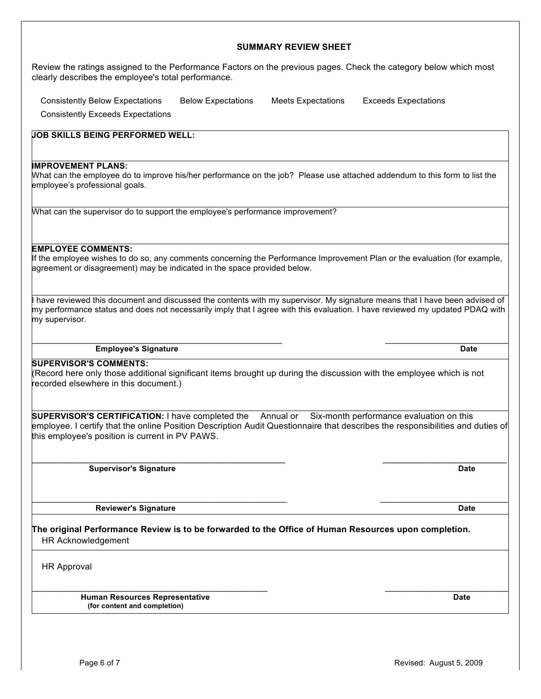# Review the ratings assigned to the Performance Factors on the previous pages. Check the category below which most clearly describes the employee's total performance.

**SUMMARY REVIEW SHEET**

 Consistently Below Expectations Below Expectations Meets Expectations Exceeds Expectations Consistently Exceeds Expectations

**JOB SKILLS BEING PERFORMED WELL:**

#### **IMPROVEMENT PLANS:**

What can the employee do to improve his/her performance on the job? Please use attached addendum to this form to list the employee's professional goals.

What can the supervisor do to support the employee's performance improvement?

**EMPLOYEE COMMENTS:**

If the employee wishes to do so, any comments concerning the Performance Improvement Plan or the evaluation (for example, agreement or disagreement) may be indicated in the space provided below.

I have reviewed this document and discussed the contents with my supervisor. My signature means that I have been advised of my performance status and does not necessarily imply that I agree with this evaluation. I have reviewed my updated PDAQ with my supervisor.

 $\mathcal{L}_\text{max}$  , and the contribution of the contribution of the contribution of the contribution of the contribution of the contribution of the contribution of the contribution of the contribution of the contribution of t

**Employee's Signature Date**

**SUPERVISOR'S COMMENTS:**

(Record here only those additional significant items brought up during the discussion with the employee which is not recorded elsewhere in this document.)

**SUPERVISOR'S CERTIFICATION:** I have completed the Annual or Six-month performance evaluation on this employee. I certify that the online Position Description Audit Questionnaire that describes the responsibilities and duties of this employee's position is current in PV PAWS.

 $\_$  ,  $\_$  ,  $\_$  ,  $\_$  ,  $\_$  ,  $\_$  ,  $\_$  ,  $\_$  ,  $\_$  ,  $\_$  ,  $\_$  ,  $\_$  ,  $\_$  ,  $\_$  ,  $\_$  ,  $\_$  ,  $\_$  ,  $\_$  ,  $\_$  ,  $\_$  ,  $\_$  ,  $\_$  ,  $\_$  ,  $\_$  ,  $\_$  ,  $\_$  ,  $\_$  ,  $\_$  ,  $\_$  ,  $\_$  ,  $\_$  ,  $\_$  ,  $\_$  ,  $\_$  ,  $\_$  ,  $\_$  ,  $\_$  , **Supervisor's Signature Date** 

\_\_\_\_\_\_\_\_\_\_\_\_\_\_\_\_\_\_\_\_\_\_\_\_\_\_\_\_\_\_\_\_\_\_\_\_\_\_\_\_\_\_\_\_\_\_\_\_\_\_\_\_ \_\_\_\_\_\_\_\_\_\_\_\_\_\_\_\_\_\_\_\_\_\_\_\_\_\_ **Reviewer's Signature Date**

**The original Performance Review is to be forwarded to the Office of Human Resources upon completion.** HR Acknowledgement

HR Approval

 **Human Resources Representative Date (for content and completion)**

 $\overline{\phantom{a}}$  , and the contribution of the contribution of the contribution of the contribution of the contribution of the contribution of the contribution of the contribution of the contribution of the contribution of the